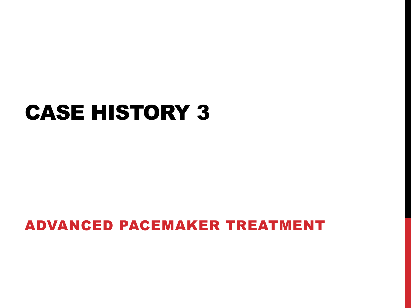## CASE HISTORY 3

#### ADVANCED PACEMAKER TREATMENT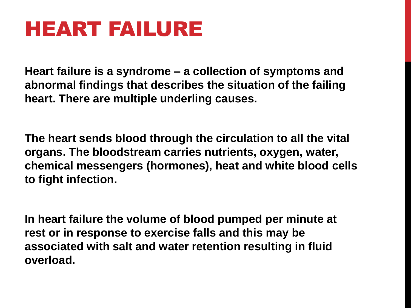# HEART FAILURE

**Heart failure is a syndrome – a collection of symptoms and abnormal findings that describes the situation of the failing heart. There are multiple underling causes.**

**The heart sends blood through the circulation to all the vital organs. The bloodstream carries nutrients, oxygen, water, chemical messengers (hormones), heat and white blood cells to fight infection.**

**In heart failure the volume of blood pumped per minute at rest or in response to exercise falls and this may be associated with salt and water retention resulting in fluid overload.**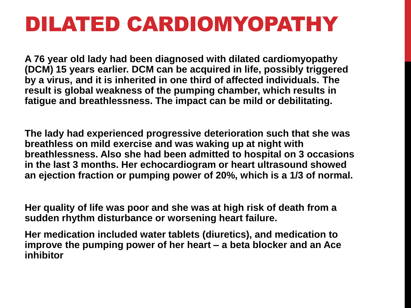## DILATED CARDIOMYOPATHY

**A 76 year old lady had been diagnosed with dilated cardiomyopathy (DCM) 15 years earlier. DCM can be acquired in life, possibly triggered by a virus, and it is inherited in one third of affected individuals. The result is global weakness of the pumping chamber, which results in fatigue and breathlessness. The impact can be mild or debilitating.**

**The lady had experienced progressive deterioration such that she was breathless on mild exercise and was waking up at night with breathlessness. Also she had been admitted to hospital on 3 occasions in the last 3 months. Her echocardiogram or heart ultrasound showed an ejection fraction or pumping power of 20%, which is a 1/3 of normal.**

**Her quality of life was poor and she was at high risk of death from a sudden rhythm disturbance or worsening heart failure.**

**Her medication included water tablets (diuretics), and medication to improve the pumping power of her heart – a beta blocker and an Ace inhibitor**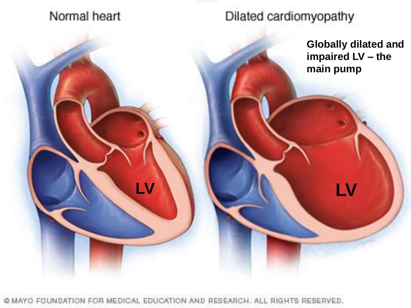#### Normal heart

#### Dilated cardiomyopathy

**LV LV**

**Globally dilated and impaired LV – the main pump**

@ MAYO FOUNDATION FOR MEDICAL EDUCATION AND RESEARCH. ALL RIGHTS RESERVED.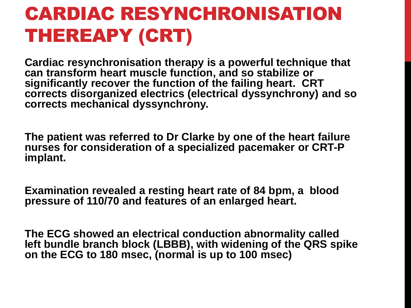## CARDIAC RESYNCHRONISATION THEREAPY (CRT)

**Cardiac resynchronisation therapy is a powerful technique that can transform heart muscle function, and so stabilize or significantly recover the function of the failing heart. CRT corrects disorganized electrics (electrical dyssynchrony) and so**  corrects mechanical dyssynchrony.

**The patient was referred to Dr Clarke by one of the heart failure nurses for consideration of a specialized pacemaker or CRT-P implant.**

**Examination revealed a resting heart rate of 84 bpm, a blood pressure of 110/70 and features of an enlarged heart.**

**The ECG showed an electrical conduction abnormality called**  left bundle branch block (LBBB), with widening of the QRS spike **on the ECG to 180 msec, (normal is up to 100 msec)**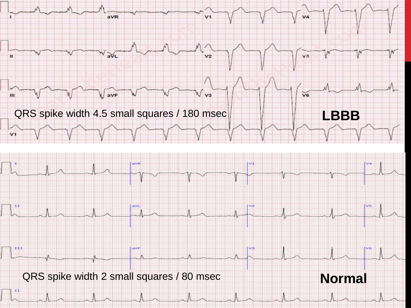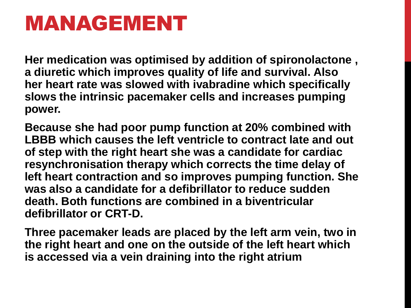## MANAGEMENT

**Her medication was optimised by addition of spironolactone , a diuretic which improves quality of life and survival. Also her heart rate was slowed with ivabradine which specifically slows the intrinsic pacemaker cells and increases pumping power.**

**Because she had poor pump function at 20% combined with LBBB which causes the left ventricle to contract late and out of step with the right heart she was a candidate for cardiac resynchronisation therapy which corrects the time delay of left heart contraction and so improves pumping function. She was also a candidate for a defibrillator to reduce sudden death. Both functions are combined in a biventricular defibrillator or CRT-D.**

**Three pacemaker leads are placed by the left arm vein, two in the right heart and one on the outside of the left heart which is accessed via a vein draining into the right atrium**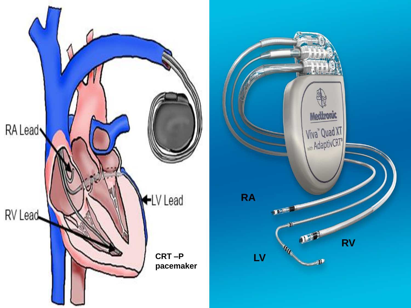